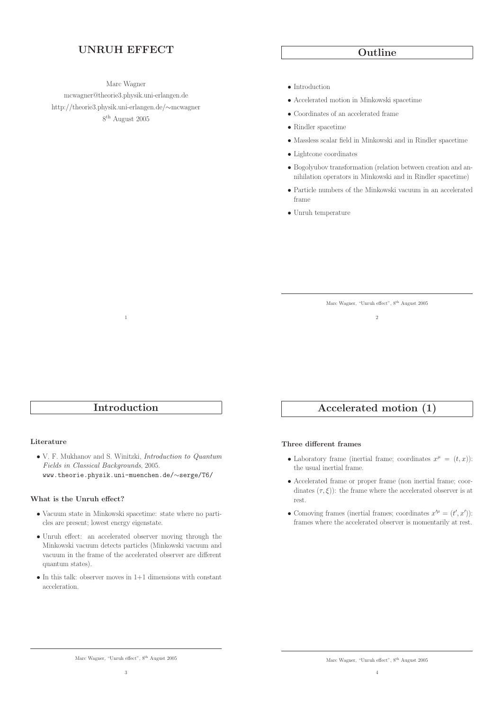# UNRUH EFFECT

Marc Wagner

mcwagner@theorie3.physik.uni-erlangen.de http://theorie3.physik.uni-erlangen.de/∼mcwagner 8 th August 2005

## Outline

- Introduction
- Accelerated motion in Minkowski spacetime
- Coordinates of an accelerated frame
- Rindler spacetime
- Massless scalar field in Minkowski and in Rindler spacetime
- Lightcone coordinates
- Bogolyubov transformation (relation between creation and annihilation operators in Minkowski and in Rindler spacetime)
- Particle numbers of the Minkowski vacuum in an accelerated frame
- Unruh temperature

Marc Wagner, "Unruh effect", 8th August 2005 2

## Introduction

1

## Literature

• V. F. Mukhanov and S. Winitzki, Introduction to Quantum Fields in Classical Backgrounds, 2005. www.theorie.physik.uni-muenchen.de/∼serge/T6/

## What is the Unruh effect?

- Vacuum state in Minkowski spacetime: state where no particles are present; lowest energy eigenstate.
- Unruh effect: an accelerated observer moving through the Minkowski vacuum detects particles (Minkowski vacuum and vacuum in the frame of the accelerated observer are different quantum states).
- $\bullet$  In this talk: observer moves in  $1+1$  dimensions with constant acceleration.

# Accelerated motion (1)

## Three different frames

- Laboratory frame (inertial frame; coordinates  $x^{\mu} = (t, x)$ ): the usual inertial frame.
- Accelerated frame or proper frame (non inertial frame; coordinates  $(\tau, \xi)$ : the frame where the accelerated observer is at rest.
- Comoving frames (inertial frames; coordinates  $x'^{\mu} = (t', x')$ ): frames where the accelerated observer is momentarily at rest.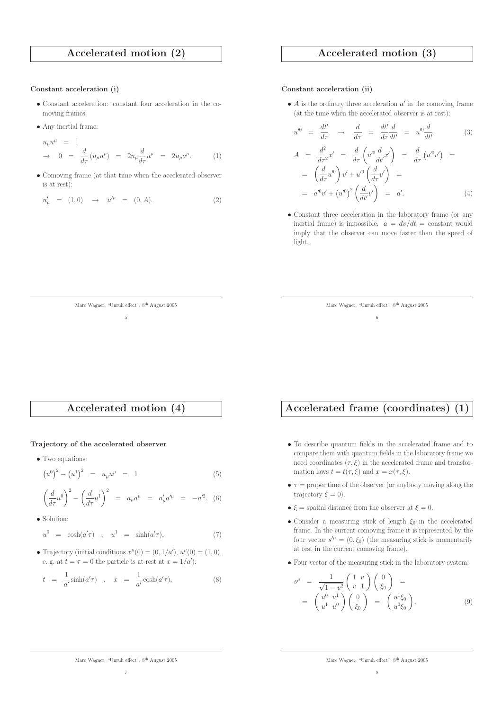## Accelerated motion (2)

#### Constant acceleration (i)

- Constant acceleration: constant four acceleration in the comoving frames.
- Any inertial frame:

$$
u_{\mu}u^{\mu} = 1
$$
  
\n
$$
\rightarrow 0 = \frac{d}{d\tau}(u_{\mu}u^{\mu}) = 2u_{\mu}\frac{d}{d\tau}u^{\mu} = 2u_{\mu}a^{\mu}.
$$
 (1)

• Comoving frame (at that time when the accelerated observer is at rest):

$$
u'_{\mu} = (1,0) \rightarrow a'^{\mu} = (0,A). \tag{2}
$$

## Accelerated motion (3)

#### Constant acceleration (ii)

•  $A$  is the ordinary three acceleration  $a'$  in the comoving frame (at the time when the accelerated observer is at rest):

$$
u^{\prime 0} = \frac{dt'}{d\tau} \rightarrow \frac{d}{d\tau} = \frac{dt'}{d\tau} \frac{d}{dt'} = u^{\prime 0} \frac{d}{dt'} \qquad (3)
$$

$$
A = \frac{d^2}{d\tau^2} x' = \frac{d}{d\tau} \left( u'^0 \frac{d}{dt'} x' \right) = \frac{d}{d\tau} \left( u'^0 v' \right) =
$$
  

$$
= \left( \frac{d}{d\tau} u'^0 \right) v' + u'^0 \left( \frac{d}{d\tau} v' \right) =
$$
  

$$
= a'^0 v' + \left( u'^0 \right)^2 \left( \frac{d}{dt'} v' \right) = a'.
$$
 (4)

• Constant three acceleration in the laboratory frame (or any inertial frame) is impossible.  $a = dv/dt$  = constant would imply that the observer can move faster than the speed of light.

| Marc Wagner, "Unruh effect", 8 <sup>th</sup> August 2005 |  |  |  |  |  |
|----------------------------------------------------------|--|--|--|--|--|
|----------------------------------------------------------|--|--|--|--|--|

Accelerated motion (4)

Marc Wagner, "Unruh effect", 8th August 2005 5

#### Trajectory of the accelerated observer

• Two equations:

$$
(u^0)^2 - (u^1)^2 = u_\mu u^\mu = 1 \tag{5}
$$

$$
\left(\frac{d}{d\tau}u^0\right)^2 - \left(\frac{d}{d\tau}u^1\right)^2 = a_\mu a^\mu = a'_\mu a'^\mu = -a'^2. (6)
$$

• Solution:

$$
u^0 = \cosh(a'\tau) , \quad u^1 = \sinh(a'\tau). \tag{7}
$$

• Trajectory (initial conditions  $x^{\mu}(0) = (0, 1/a')$ ,  $u^{\mu}(0) = (1, 0)$ , e. g. at  $t = \tau = 0$  the particle is at rest at  $x = 1/a'$ :

$$
t = \frac{1}{a'} \sinh(a'\tau) , \quad x = \frac{1}{a'} \cosh(a'\tau). \tag{8}
$$

## Accelerated frame (coordinates) (1)

6

- To describe quantum fields in the accelerated frame and to compare them with quantum fields in the laboratory frame we need coordinates  $(\tau, \xi)$  in the accelerated frame and transformation laws  $t = t(\tau, \xi)$  and  $x = x(\tau, \xi)$ .
- $\tau$  = proper time of the observer (or anybody moving along the trajectory  $\xi = 0$ ).
- $\xi$  = spatial distance from the observer at  $\xi$  = 0.
- Consider a measuring stick of length  $\xi_0$  in the accelerated frame. In the current comoving frame it is represented by the four vector  $s^{\prime \mu} = (0, \xi_0)$  (the measuring stick is momentarily at rest in the current comoving frame).
- Four vector of the measuring stick in the laboratory system:

$$
s^{\mu} = \frac{1}{\sqrt{1 - v^2}} \begin{pmatrix} 1 & v \\ v & 1 \end{pmatrix} \begin{pmatrix} 0 \\ \xi_0 \end{pmatrix} =
$$
  
= 
$$
\begin{pmatrix} u^0 & u^1 \\ u^1 & u^0 \end{pmatrix} \begin{pmatrix} 0 \\ \xi_0 \end{pmatrix} = \begin{pmatrix} u^1 \xi_0 \\ u^0 \xi_0 \end{pmatrix}.
$$
 (9)

Marc Wagner, "Unruh effect", $8^{\rm th}$  August $2005$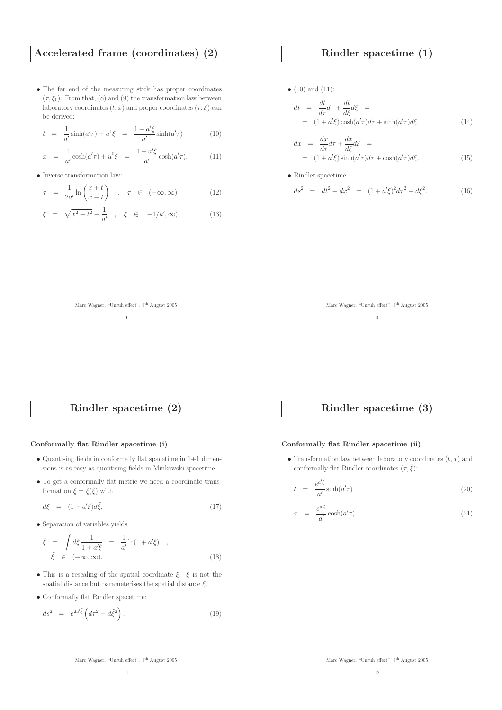## Accelerated frame (coordinates) (2)

• The far end of the measuring stick has proper coordinates  $(\tau, \xi_0)$ . From that, (8) and (9) the transformation law between laboratory coordinates  $(t, x)$  and proper coordinates  $(\tau, \xi)$  can be derived:

$$
t = \frac{1}{a'} \sinh(a'\tau) + u^1 \xi = \frac{1 + a'\xi}{a'} \sinh(a'\tau) \tag{10}
$$

$$
x = \frac{1}{a'} \cosh(a'\tau) + u^0 \xi = \frac{1 + a'\xi}{a'} \cosh(a'\tau). \tag{11}
$$

• Inverse transformation law:

$$
\tau = \frac{1}{2a'} \ln \left( \frac{x+t}{x-t} \right) , \quad \tau \in (-\infty, \infty)
$$
 (12)

$$
\xi = \sqrt{x^2 - t^2} - \frac{1}{a'}
$$
,  $\xi \in [-1/a', \infty)$ . (13)

## Rindler spacetime (1)

•  $(10)$  and  $(11)$ :

$$
dt = \frac{dt}{d\tau}d\tau + \frac{dt}{d\xi}d\xi =
$$
  
=  $(1 + a'\xi)\cosh(a'\tau)d\tau + \sinh(a'\tau)d\xi$  (14)

$$
dx = \frac{dx}{d\tau}d\tau + \frac{dx}{d\xi}d\xi =
$$
  
=  $(1 + a'\xi)\sinh(a'\tau)d\tau + \cosh(a'\tau)d\xi.$  (15)

• Rindler spacetime:

$$
ds^2 = dt^2 - dx^2 = (1 + a'\xi)^2 d\tau^2 - d\xi^2.
$$
 (16)

| Marc Wagner, "Unruh effect", 8 <sup>th</sup> August 2005 |  |  |  |  |  |
|----------------------------------------------------------|--|--|--|--|--|
|----------------------------------------------------------|--|--|--|--|--|

10

## Rindler spacetime (2)

Marc Wagner, "Unruh effect", 8th August 2005 9

## Conformally flat Rindler spacetime (i)

- Quantising fields in conformally flat spacetime in  $1+1$  dimensions is as easy as quantising fields in Minkowski spacetime.
- To get a conformally flat metric we need a coordinate transformation  $\xi = \xi(\tilde{\xi})$  with

$$
d\xi = (1 + a'\xi)d\tilde{\xi}.
$$
\n(17)

• Separation of variables yields

$$
\tilde{\xi} = \int d\xi \frac{1}{1 + a'\xi} = \frac{1}{a'} \ln(1 + a'\xi) ,
$$
  
\n
$$
\tilde{\xi} \in (-\infty, \infty).
$$
\n(18)

- This is a rescaling of the spatial coordinate  $\xi$ .  $\tilde{\xi}$  is not the spatial distance but parameterises the spatial distance  $\xi$ .
- Conformally flat Rindler spacetime:

$$
ds^2 = e^{2a'\tilde{\xi}} \left( d\tau^2 - d\tilde{\xi}^2 \right). \tag{19}
$$

## Rindler spacetime (3)

## Conformally flat Rindler spacetime (ii)

• Transformation law between laboratory coordinates  $(t, x)$  and conformally flat Rindler coordinates  $(\tau, \tilde{\xi})$ :

$$
t = \frac{e^{a'\tilde{\xi}}}{a'}\sinh(a'\tau) \tag{20}
$$

$$
x = \frac{e^{a'\tilde{\xi}}}{a'}\cosh(a'\tau). \tag{21}
$$

Marc Wagner, "Unruh effect", $8^{\rm th}$  August $2005$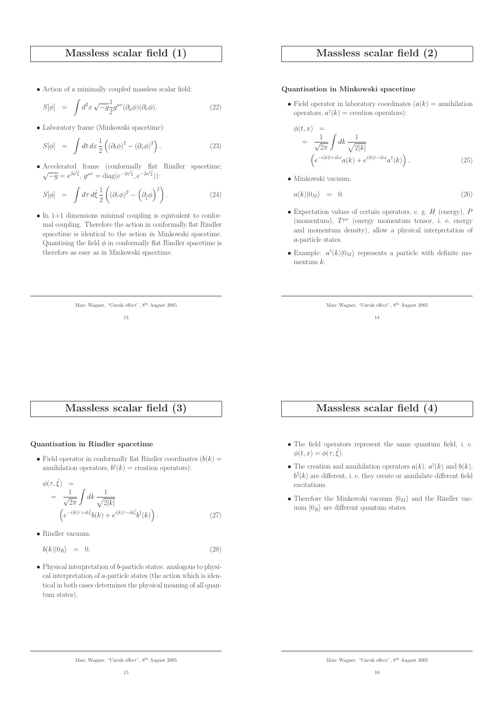## Massless scalar field (1)

• Action of a minimally coupled massless scalar field:

$$
S[\phi] = \int d^2x \sqrt{-g} \frac{1}{2} g^{\mu\nu} (\partial_{\mu}\phi)(\partial_{\nu}\phi).
$$
 (22)

• Laboratory frame (Minkowski spacetime):

$$
S[\phi] = \int dt \, dx \frac{1}{2} \left( (\partial_t \phi)^2 - (\partial_x \phi)^2 \right). \tag{23}
$$

• Accelerated frame (conformally flat Rindler spacetime;  $\sqrt{-g} = e^{2a'\tilde{\xi}}, g^{\mu\nu} = \text{diag}(e^{-2a'\tilde{\xi}}, e^{-2a'\tilde{\xi}})$ :

$$
S[\phi] = \int d\tau \, d\tilde{\xi} \, \frac{1}{2} \left( (\partial_{\tau} \phi)^2 - \left( \partial_{\tilde{\xi}} \phi \right)^2 \right). \tag{24}
$$

• In 1+1 dimensions minimal coupling is equivalent to conformal coupling. Therefore the action in conformally flat Rindler spacetime is identical to the action in Minkowski spacetime. Quantising the field  $\phi$  in conformally flat Rindler spacetime is therefore as easy as in Minkowski spacetime.

> Marc Wagner, "Unruh effect", 8th August 2005 13

## Massless scalar field (2)

#### Quantisation in Minkowski spacetime

• Field operator in laboratory coordinates  $(a(k) =$  annihilation operators,  $a^{\dagger}(k)$  = creation operators):

$$
\begin{aligned}\n\phi(t,x) &=& \frac{1}{\sqrt{2\pi}} \int dk \frac{1}{\sqrt{2|k|}} \\
\left(e^{-i|k|t+ikx} a(k) + e^{i|k|t-ikx} a^{\dagger}(k)\right).\n\end{aligned} \tag{25}
$$

• Minkowski vacuum:

$$
a(k)|0_M\rangle = 0. \t\t(26)
$$

- Expectation values of certain operators, e. g.  $H$  (energy),  $P$ (momentum),  $T^{\mu\nu}$  (energy momentum tensor, i. e. energy and momentum density), allow a physical interpretation of a-particle states.
- Example:  $a^{\dagger}(k)|0_M\rangle$  represents a particle with definite momentum k.

| Marc Wagner, "Unruh effect", 8 <sup>th</sup> August 2005 |  |  |  |
|----------------------------------------------------------|--|--|--|
|                                                          |  |  |  |

## Massless scalar field (3)

#### Quantisation in Rindler spacetime

• Field operator in conformally flat Rindler coordinates  $(b(k) =$ annihilation operators,  $b^{\dagger}(k)$  = creation operators):

$$
\begin{split} \phi(\tau,\tilde{\xi}) &= \\ &= \frac{1}{\sqrt{2\pi}} \int dk \frac{1}{\sqrt{2|k|}} \\ & \left(e^{-i|k|\tau + ik\tilde{\xi}} b(k) + e^{i|k|\tau - ik\tilde{\xi}} b^{\dagger}(k)\right). \end{split} \tag{27}
$$

• Rindler vacuum:

$$
b(k)|0_R\rangle = 0. \t(28)
$$

• Physical interpretation of b-particle states: analogous to physical interpretation of  $a$ -particle states (the action which is identical in both cases determines the physical meaning of all quantum states).

## Massless scalar field (4)

- The field operators represent the same quantum field, i. e.  $\phi(t, x) = \phi(\tau, \xi).$
- The creation and annihilation operators  $a(k)$ ,  $a^{\dagger}(k)$  and  $b(k)$ ,  $b^{\dagger}(k)$  are different, i. e. they create or annihilate different field excitations.
- Therefore the Minkowski vacuum  $|0_M\rangle$  and the Rindler vacuum  $|0_R\rangle$  are different quantum states.

Marc Wagner, "Unruh effect", $8^{\rm th}$  August $2005$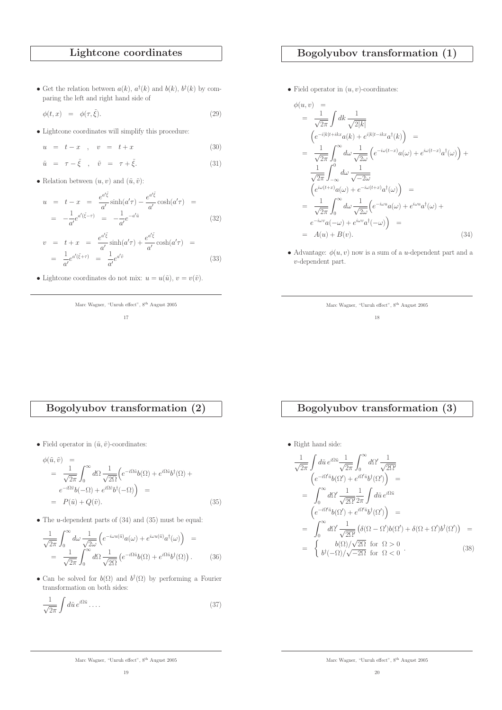# Lightcone coordinates

• Get the relation between  $a(k)$ ,  $a^{\dagger}(k)$  and  $b(k)$ ,  $b^{\dagger}(k)$  by comparing the left and right hand side of

$$
\phi(t,x) = \phi(\tau,\tilde{\xi}). \tag{29}
$$

• Lightcone coordinates will simplify this procedure:

$$
u = t - x \quad , \quad v = t + x \tag{30}
$$

$$
\tilde{u} = \tau - \tilde{\xi} \quad , \quad \tilde{v} = \tau + \tilde{\xi}.
$$
\n(31)

• Relation between  $(u, v)$  and  $(\tilde{u}, \tilde{v})$ :

$$
u = t - x = \frac{e^{a'\tilde{\xi}}}{a'}\sinh(a'\tau) - \frac{e^{a'\tilde{\xi}}}{a'}\cosh(a'\tau) = -\frac{1}{a'}e^{a'(\tilde{\xi}-\tau)} = -\frac{1}{a'}e^{-a'\tilde{u}}\tag{32}
$$

$$
v = t + x = \frac{e^{a'\tilde{\xi}}}{a'}\sinh(a'\tau) + \frac{e^{a'\tilde{\xi}}}{a'}\cosh(a'\tau) = \frac{1}{a'}e^{a'(\tilde{\xi}+\tau)} = \frac{1}{a'}e^{a'\tilde{v}} \tag{33}
$$

• Lightcone coordinates do not mix:  $u = u(\tilde{u}), v = v(\tilde{v}).$ 

Marc Wagner, "Unruh effect", 8th August 2005

## 17

# Bogolyubov transformation (1)

• Field operator in  $(u, v)$ -coordinates:

$$
\phi(u, v) =
$$
\n
$$
= \frac{1}{\sqrt{2\pi}} \int dk \frac{1}{\sqrt{2|k|}}
$$
\n
$$
\left(e^{-i|k|t+ikx}a(k) + e^{i|k|t-ikx}a^{\dagger}(k)\right) =
$$
\n
$$
= \frac{1}{\sqrt{2\pi}} \int_0^\infty d\omega \frac{1}{\sqrt{2\omega}} \left(e^{-i\omega(t-x)}a(\omega) + e^{i\omega(t-x)}a^{\dagger}(\omega)\right) +
$$
\n
$$
\frac{1}{\sqrt{2\pi}} \int_{-\infty}^0 d\omega \frac{1}{\sqrt{-2\omega}}
$$
\n
$$
\left(e^{i\omega(t+x)}a(\omega) + e^{-i\omega(t+x)}a^{\dagger}(\omega)\right) =
$$
\n
$$
= \frac{1}{\sqrt{2\pi}} \int_0^\infty d\omega \frac{1}{\sqrt{2\omega}} \left(e^{-i\omega u}a(\omega) + e^{i\omega u}a^{\dagger}(\omega) + e^{-i\omega v}a(-\omega) + e^{i\omega v}a^{\dagger}(-\omega)\right) =
$$
\n
$$
= A(u) + B(v).
$$
\n(34)

• Advantage:  $\phi(u, v)$  now is a sum of a *u*-dependent part and a v-dependent part.

| Marc Wagner, "Unruh effect", 8 <sup>th</sup> August 2005 |    |  |  |
|----------------------------------------------------------|----|--|--|
|                                                          | 18 |  |  |

# Bogolyubov transformation (2)

• Field operator in  $(\tilde{u}, \tilde{v})$ -coordinates:

$$
\phi(\tilde{u}, \tilde{v}) =
$$
\n
$$
= \frac{1}{\sqrt{2\pi}} \int_0^\infty d\Omega \frac{1}{\sqrt{2\Omega}} \Big( e^{-i\Omega \tilde{u}} b(\Omega) + e^{i\Omega \tilde{u}} b^{\dagger}(\Omega) +
$$
\n
$$
e^{-i\Omega \tilde{v}} b(-\Omega) + e^{i\Omega \tilde{v}} b^{\dagger}(-\Omega) \Big) =
$$
\n
$$
= P(\tilde{u}) + Q(\tilde{v}). \tag{35}
$$

• The  $u$ -dependent parts of  $(34)$  and  $(35)$  must be equal:

$$
\frac{1}{\sqrt{2\pi}} \int_0^\infty d\omega \frac{1}{\sqrt{2\omega}} \left( e^{-i\omega u(\tilde{u})} a(\omega) + e^{i\omega u(\tilde{u})} a^\dagger(\omega) \right) =
$$
  
= 
$$
\frac{1}{\sqrt{2\pi}} \int_0^\infty d\Omega \frac{1}{\sqrt{2\Omega}} \left( e^{-i\Omega \tilde{u}} b(\Omega) + e^{i\Omega \tilde{u}} b^\dagger(\Omega) \right).
$$
 (36)

• Can be solved for  $b(\Omega)$  and  $b^{\dagger}(\Omega)$  by performing a Fourier transformation on both sides:

$$
\frac{1}{\sqrt{2\pi}}\int d\tilde{u} \, e^{i\Omega \tilde{u}} \dots \tag{37}
$$

# Bogolyubov transformation (3)

 $\bullet$  Right hand side:

$$
\frac{1}{\sqrt{2\pi}} \int d\tilde{u} e^{i\Omega \tilde{u}} \frac{1}{\sqrt{2\pi}} \int_0^\infty d\Omega' \frac{1}{\sqrt{2\Omega'}} \n\left( e^{-i\Omega' \tilde{u}} b(\Omega') + e^{i\Omega' \tilde{u}} b^{\dagger}(\Omega') \right) = \n= \int_0^\infty d\Omega' \frac{1}{\sqrt{2\Omega'} 2\pi} \int d\tilde{u} e^{i\Omega \tilde{u}} \n\left( e^{-i\Omega' \tilde{u}} b(\Omega') + e^{i\Omega' \tilde{u}} b^{\dagger}(\Omega') \right) = \n= \int_0^\infty d\Omega' \frac{1}{\sqrt{2\Omega'}} \left( \delta(\Omega - \Omega') b(\Omega') + \delta(\Omega + \Omega') b^{\dagger}(\Omega') \right) = \n= \begin{cases} b(\Omega)/\sqrt{2\Omega} & \text{for } \Omega > 0 \\ b^{\dagger}(-\Omega)/\sqrt{-2\Omega} & \text{for } \Omega < 0 \end{cases}
$$
\n(38)

Marc Wagner, "Unruh effect", $8^{\rm th}$  August $2005$